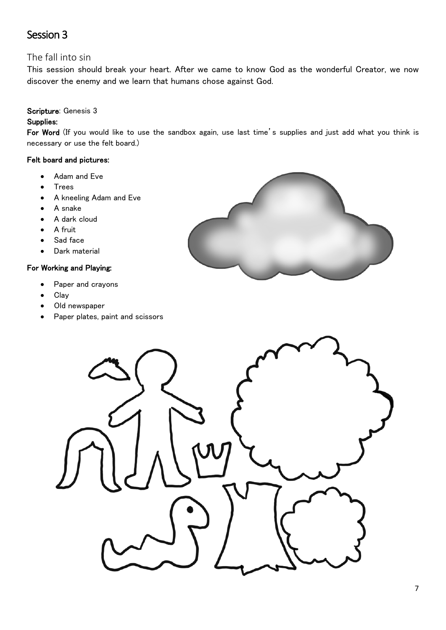# Session 3

# The fall into sin

This session should break your heart. After we came to know God as the wonderful Creator, we now discover the enemy and we learn that humans chose against God.

## Scripture: Genesis 3

# Supplies:

For Word (If you would like to use the sandbox again, use last time's supplies and just add what you think is necessary or use the felt board.)

## Felt board and pictures:

- Adam and Eve
- **Trees**
- A kneeling Adam and Eve
- A snake
- A dark cloud
- A fruit
- Sad face
- Dark material

## For Working and Playing:

- Paper and crayons
- Clay
- Old newspaper
- Paper plates, paint and scissors



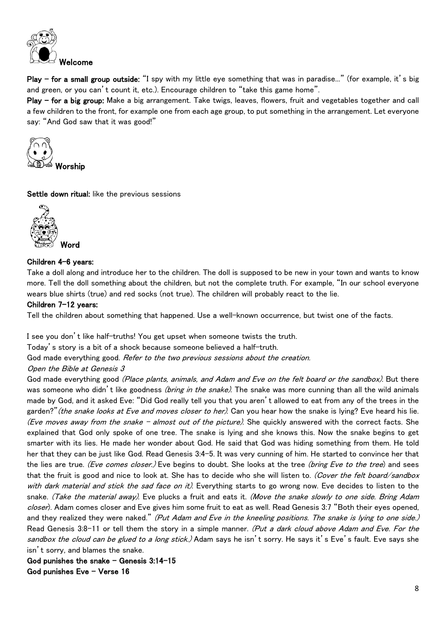

Play – for a small group outside: "I spy with my little eye something that was in paradise..." (for example, it's big and green, or you can't count it, etc.). Encourage children to "take this game home".

Play – for a big group: Make a big arrangement. Take twigs, leaves, flowers, fruit and vegetables together and call a few children to the front, for example one from each age group, to put something in the arrangement. Let everyone say: "And God saw that it was good!"



Settle down ritual: like the previous sessions



## Children 4-6 years:

Take a doll along and introduce her to the children. The doll is supposed to be new in your town and wants to know more. Tell the doll something about the children, but not the complete truth. For example, "In our school everyone wears blue shirts (true) and red socks (not true). The children will probably react to the lie.

#### Children 7-12 years:

Tell the children about something that happened. Use a well-known occurrence, but twist one of the facts.

I see you don't like half-truths! You get upset when someone twists the truth.

Today's story is a bit of a shock because someone believed a half-truth.

God made everything good. Refer to the two previous sessions about the creation.

#### Open the Bible at Genesis 3

God made everything good (Place plants, animals, and Adam and Eve on the felt board or the sandbox). But there was someone who didn't like goodness *(bring in the snake)*. The snake was more cunning than all the wild animals made by God, and it asked Eve: "Did God really tell you that you aren't allowed to eat from any of the trees in the garden?" (the snake looks at Eve and moves closer to her). Can you hear how the snake is lying? Eve heard his lie. (Eve moves away from the snake – almost out of the picture). She quickly answered with the correct facts. She explained that God only spoke of one tree. The snake is lying and she knows this. Now the snake begins to get smarter with its lies. He made her wonder about God. He said that God was hiding something from them. He told her that they can be just like God. Read Genesis 3:4-5. It was very cunning of him. He started to convince her that the lies are true. (Eve comes closer.) Eve begins to doubt. She looks at the tree (bring Eve to the tree) and sees that the fruit is good and nice to look at. She has to decide who she will listen to. (Cover the felt board/sandbox with dark material and stick the sad face on it). Everything starts to go wrong now. Eve decides to listen to the snake. (Take the material away). Eve plucks a fruit and eats it. (Move the snake slowly to one side. Bring Adam closer). Adam comes closer and Eve gives him some fruit to eat as well. Read Genesis 3:7 "Both their eves opened, and they realized they were naked." (Put Adam and Eve in the kneeling positions. The snake is lying to one side.) Read Genesis 3:8-11 or tell them the story in a simple manner. (Put a dark cloud above Adam and Eve. For the sandbox the cloud can be glued to a long stick.) Adam says he isn't sorry. He says it's Eve's fault. Eve says she isn't sorry, and blames the snake.

God punishes the snake – Genesis 3:14-15 God punishes Eve – Verse 16